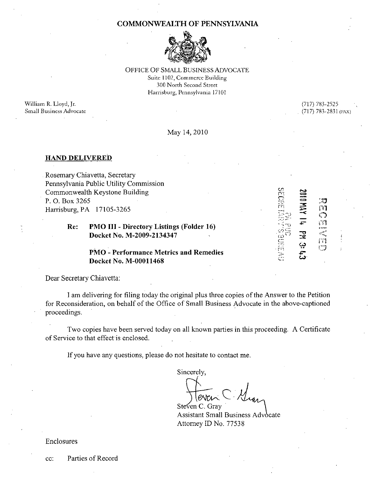#### COMMONWEALTH OF PENNSYLVANIA



OFFICE OF SMALL BUSINESS ADVOCATE Suite 1102, Commerce Building 300 North Second Street Harrisburg, Pennsylvania 17101

William R. Lloyd, Jr. Small Business Advocate (717) 783-2525 (717) 783-2831 (FAX)

ះៗ<br>m

ි<br>ග

y - x<br>a svan<br>Eliste<br>Eliste

រា<br>ោ

 $\leq$  $\mathbf{r}$  :  $\mathrel{\textstyle\sim}$ rn  $\mathbf{r} = \mathbf{r}$ --" ''' ' " ••  $\sim$  S"  $\cdot \cap$  . . . .  $\cdots$   $\cdots$ il. '  $\Xi^$ n  $\subseteq$  .

 $\Xi$  $\rightarrow$  $\Xi$  $\tilde{=}$ s»  $\prec$  $\bar{}$ 4=-

 $\frac{1}{2}$ بې  $\ddot{c}$ ىي

#### May 14,2010

#### HAND DELIVERED

Rosemary Chiavetta, Secretary Pennsylvania Public Utility Commission Commonwealth Keystone Building P. O. Box 3265 Harrisburg, PA 17105-3265

### Re: PMO III - Directory Listings (Folder 16) Docket No. M-2009-2134347

### PMO - Performance Metrics and Remedies Docket No. M-00011468

Dear Secretary Chiavetta:

I am delivering for filing today the original plus three copies ofthe Answer to the Petition for Reconsideration, on behalf of the Office of Small Business Advocate in the above-captioned proceedings.

Two copies have been served today on all known parties in this proceeding. A Certificate of Service to that effect is enclosed.

If you have any questions, please do not hesitate to contact me.

Sincerely, Steven C. Gray

Assistant Small Business Advocate Attorney ID No. 77538

Enclosures

cc: Parties of Record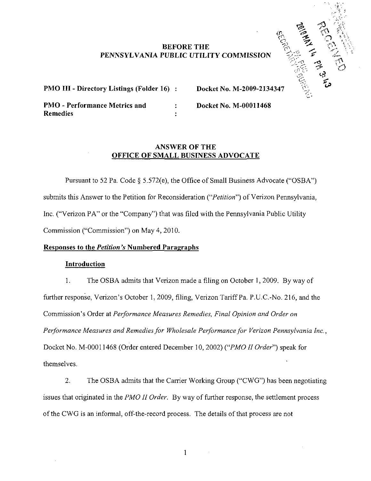## BEFORE THE PENNSYLVANIA PUBLIC UTILITY COMMISSION



PMO III - Directory Listings (Folder 16) : Docket No. M-2009-2134347

PMO - Performance Metrics and : Docket No. M-00011468 **Remedies** 

# ANSWER OF THE OFFICE OF SMALL BUSINESS ADVOCATE

Pursuant to 52 Pa. Code § 5.572(e), the Office of Small Business Advocate ("OSBA") submits this Answer to the Petition for Reconsideration ("Petition") of Verizon Pennsylvania, Inc. ("Verizon PA" or the "Company") that was filed with the Pennsylvania Public Utility Commission ("Commission") on May 4, 2010.

# Responses to the Petition's Numbered Paragraphs

## Introduction

1. The OSBA admits that Verizon made a filing on October 1, 2009. By way of further response, Verizon's October 1, 2009, filing, Verizon Tariff Pa. P.U.C.-No. 216, and the Commission's Order at Performance Measures Remedies, Final Opinion and Order on Performance Measures and Remedies for Wholesale Performance for Verizon Pennsylvania Inc., Docket No. M-00011468 (Order entered December 10, 2002) {"PMO II Order") speak for themselves.

2. The OSBA admits that the Carrier Working Group ("CWG") has been negotiating issues that originated in the *PMO II Order*. By way of further response, the settlement process ofthe CWG is an informal, off-the-record process. The details of that process are not

 $\mathbf{1}$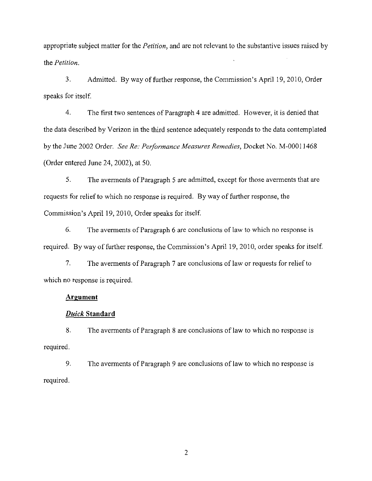appropriate subject matter for the *Petition*, and are not relevant to the substantive issues raised by the Petition.

3. Admitted. By way of further response, the Commission's April 19, 2010, Order speaks for itself.

4. The first two sentences of Paragraph 4 are admitted. However, it is denied that the data described by Verizon in the third sentence adequately responds to the data contemplated by the June 2002 Order. See Re: Performance Measures Remedies, Docket No. M-00011468 (Order entered June 24, 2002), at 50.

5. The averments of Paragraph 5 are admitted, except for those averments that are requests for relief to which no response is required. By way of further response, the Commission's April 19, 2010, Order speaks for itself.

6. The averments of Paragraph 6 are conclusions of law to which no response is required. By way of further response, the Commission's April 19, 2010, order speaks for itself.

7. The averments of Paragraph 7 are conclusions of law or requests for relief to which no response is required.

#### Argument

### Duick Standard

8. The averments of Paragraph 8 are conclusions of law to which no response is required.

9. The averments of Paragraph 9 are conclusions of law to which no response is required.

 $\overline{2}$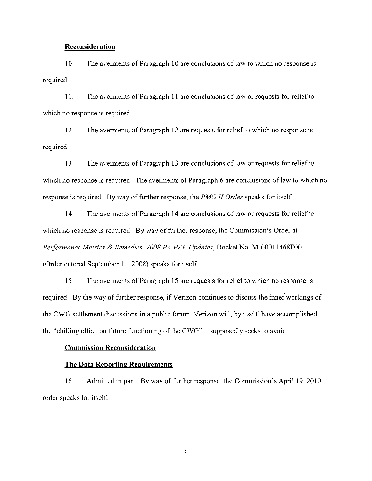#### Reconsideration

10. The averments of Paragraph 10 are conclusions of law to which no response is required.

11. The averments of Paragraph 11 are conclusions of law or requests for relief to which no response is required.

12. The averments of Paragraph 12 are requests for relief to which no response is required.

13. The averments of Paragraph 13 are conclusions of law or requests for relief to which no response is required. The averments of Paragraph 6 are conclusions of law to which no response is required. By way of further response, the PMO II Order speaks for itself.

14. The averments of Paragraph 14 are conclusions of law or requests for relief to which no response is required. By way of further response, the Commission's Order at Performance Metrics & Remedies, 2008 PA PAP Updates, Docket No. M-00011468F0011 (Order entered September 11, 2008) speaks for itself.

15. The averments of Paragraph 15 are requests for relief to which no response is required. By the way of further response, if Verizon continues to discuss the inner workings of the CWG settlement discussions in a public forum, Verizon will, by itself, have accomplished the "chilling effect on future functioning of the CWG" it supposedly seeks to avoid.

#### Commission Reconsideration

#### The Data Reporting Requirements

16. Admitted in part. By way of further response, the Commission's April 19, 2010, order speaks for itself.

3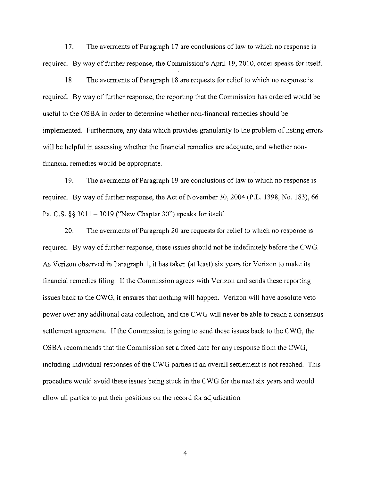17. The averments of Paragraph 17 are conclusions of law to which no response is required. By way of further response, the Commission's April 19, 2010, order speaks for itself.

18. The averments of Paragraph 18 are requests for relief to which no response is required. By way of further response, the reporting that the Commission has ordered would be useful to the OSBA in order to determine whether non-financial remedies should be implemented. Furthermore, any data which provides granularity to the problem of listing errors will be helpful in assessing whether the financial remedies are adequate, and whether nonfinancial remedies would be appropriate.

19. The averments of Paragraph 19 are conclusions of law to which no response is required. By way of further response, the Act of November 30, 2004 (P.L. 1398, No. 183), 66 Pa. C.S.  $\S$ § 3011 - 3019 ("New Chapter 30") speaks for itself.

20. The averments of Paragraph 20 are requests for relief to which no response is required. By way of further response, these issues should not be indefinitely before the CWG. As Verizon observed in Paragraph 1, it has taken (at least) six years for Verizon to make its financial remedies filing. If the Commission agrees with Verizon and sends these reporting issues back to the CWG, it ensures that nothing will happen. Verizon will have absolute veto power over any additional data collection, and the CWG will never be able to reach a consensus settlement agreement. If the Commission is going to send these issues back to the CWG, the OSBA recommends that the Commission set a fixed date for any response from the CWG, including individual responses of the CWG parties if an overall settlement is not reached. This procedure would avoid these issues being stuck in the CWG for the next six years and would allow all parties to put their positions on the record for adjudication.

 $\overline{4}$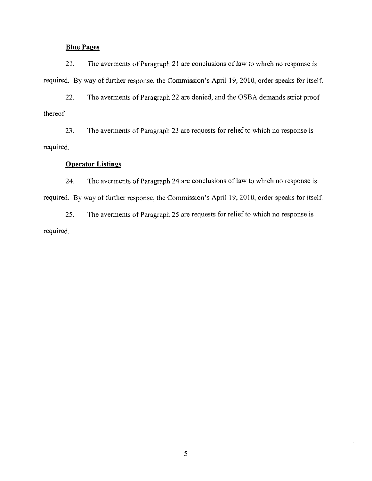## Blue Pages

21. The averments of Paragraph 21 are conclusions of Jaw to which no response is required. By way of further response, the Commission's April 19, 2010, order speaks for itself.

22. The averments of Paragraph 22 are denied, and the OSBA demands strict proof thereof.

23. The averments of Paragraph 23 are requests for relief to which no response is required.

### **Operator Listings**

24. The averments of Paragraph 24 are conclusions of law to which no response is required. By way of further response, the Commission's April 19, 2010, order speaks for itself.

25. The averments of Paragraph 25 are requests for relief to which no response is required.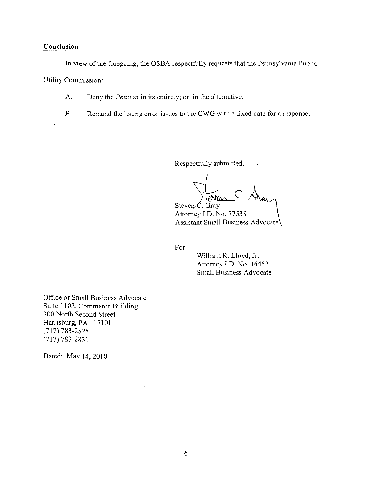## **Conclusion**

In view of the foregoing, the OSBA respectfully requests that the Pennsylvania Public Utility Commission:

- A. Deny the Petition in its entirety; or, in the alternative,
- B. Remand the listing error issues to the CWG with a fixed date for a response.

Respectfully submitted,

/ PNTA

 $Steven\mathcal{L}$ . Gray Attorney I.D. No. 77538 Assistant Small Business Advocate

For:

William R. Lloyd, Jr. Attorney I.D. No. 16452 Small Business Advocate

Office of Small Business Advocate Suite 1102, Commerce Building 300 North Second Street Harrisburg, PA 17101 (717)783-2525 (717)783-2831

Dated: May 14, 2010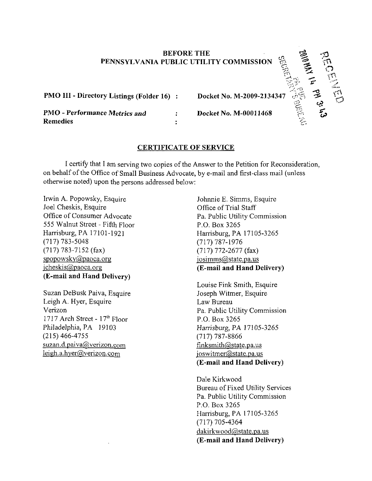### BEFORE THE PENNSYLVANIA PUBLIC UTILITY COMMISSION

PMO III - Directory Listings (Folder 16) :

PMO - Performance Metrics and **Remedies** 

Docket No. M-2009-2134347

 $_{\odot}$   $_{\Xi}$ 

' 0

r'1

 $\mathbb{C}$  $\mathfrak{N}$ 

 $\sim$   $\sim$   $\sim$ 

-o ^  $\mathcal{F} \longrightarrow$ Cj?  $\tilde{\omega}$ 

 $\sum$ 

Docket No. M-00011468

# CERTIFICATE OF SERVICE

 $\ddot{\cdot}$ 

I certify that I am serving two copies of the Answer to the Petition for Reconsideration, on behalf of the Office of Small Business Advocate, by e-mail and first-class mail (unless otherwise noted) upon the persons addressed below:

Irwin A. Popowsky, Esquire Joel Cheskis, Esquire Office of Consumer Advocate 555 Walnut Street - Fifth Floor Harrisburg, PA 17101-1921 (717)783-5048 (717) 783-7152 (fax) [spopowskv@paoca.org](mailto:spopowskv@paoca.org)  jcheskis(a)paoca.org (E-mail and Hand Delivery)

Suzan DeBusk Paiva, Esquire Leigh A. Hyer, Esquire Verizon 1717 Arch Street - 17<sup>th</sup> Floor Philadelphia, PA 19103 (215)466-4755 suzan.d.paiva@verizon.com  $leigh.a.hyer@verizon.com$ 

Johnnie E. Simms, Esquire Office of Trial Staff Pa. Public Utility Commission P.O. Box 3265 Harrisburg, PA 17105-3265 (717) 787-1976 (717) 772-2677 (fax)  $iosimms@state.pa.us$ (E-mail and Hand Delivery)

Louise Fink Smith, Esquire Joseph Witmer, Esquire Law Bureau Pa. Public Utility Commission P.O. Box 3265 Harrisburg, PA 17105-3265 (717) 787-8866 [Finksmith@state.pa.us](mailto:Finksmith@state.pa.us)  joswitmer@state.pa.us (E-mail and Hand Delivery)

Dale Kirkwood Bureau of Fixed Utility Services Pa. Public Utility Commission P.O. Box 3265 Harrisburg, PA 17105-3265 (717) 705-4364 dakirkwood@state.pa.us (E-mail and Hand Delivery)